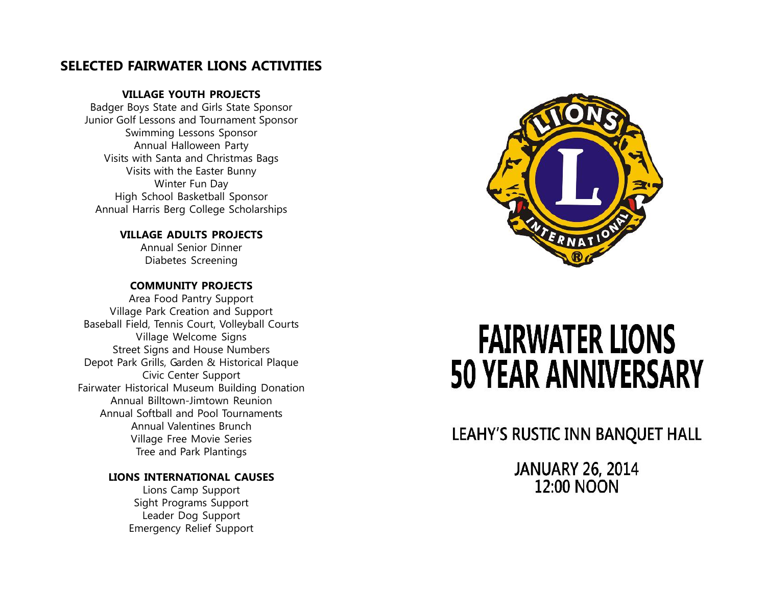## **SELECTED FAIRWATER LIONS ACTIVITIES**

**VILLAGE YOUTH PROJECTS**

Badger Boys State and Girls State Sponsor Junior Golf Lessons and Tournament Sponsor Swimming Lessons Sponsor Annual Halloween Party Visits with Santa and Christmas Bags Visits with the Easter Bunny Winter Fun Day High School Basketball Sponsor Annual Harris Berg College Scholarships

**VILLAGE ADULTS PROJECTS**

Annual Senior Dinner Diabetes Screening

#### **COMMUNITY PROJECTS**

Area Food Pantry Support Village Park Creation and Support Baseball Field, Tennis Court, Volleyball Courts Village Welcome Signs Street Signs and House Numbers Depot Park Grills, Garden & Historical Plaque Civic Center Support Fairwater Historical Museum Building Donation Annual Billtown-Jimtown Reunion Annual Softball and Pool Tournaments Annual Valentines Brunch Village Free Movie Series Tree and Park Plantings

#### **LIONS INTERNATIONAL CAUSES**

Lions Camp Support Sight Programs Support Leader Dog Support Emergency Relief Support



# **FAIRWATER LIONS 50 YEAR ANNIVERSARY**

# LEAHY'S RUSTIC INN BANQUET HALL

**JANUARY 26, 2014** 12:00 NOON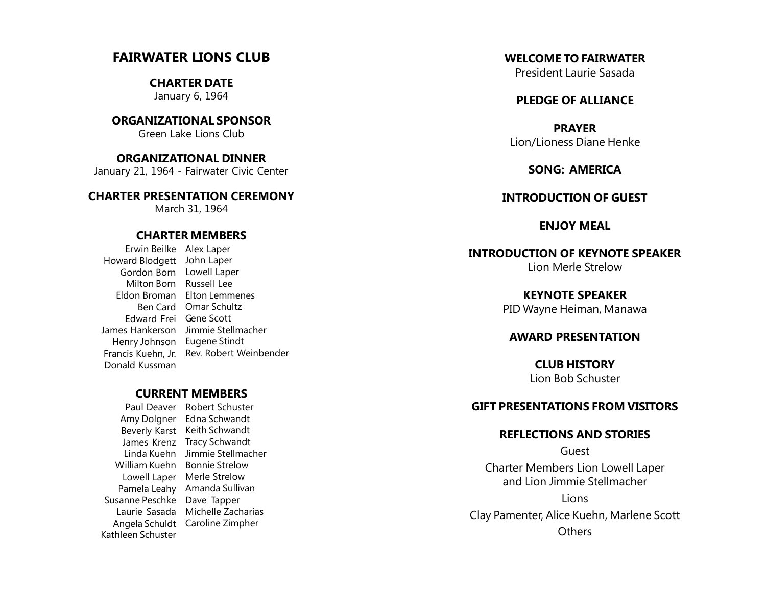### **FAIRWATER LIONS CLUB**

**CHARTER DATE** January 6, 1964

#### **ORGANIZATIONAL SPONSOR**

Green Lake Lions Club

**ORGANIZATIONAL DINNER** January 21, 1964 - Fairwater Civic Center

#### **CHARTER PRESENTATION CEREMONY**

March 31, 1964

#### **CHARTER MEMBERS**

Erwin Beilke Alex Laper Howard Blodgett John Laper Donald Kussman

Gordon Born Lowell Laper Milton Born Russell Lee Eldon Broman Elton Lemmenes Ben Card Omar Schultz Edward Frei Gene Scott James Hankerson Jimmie Stellmacher Henry Johnson Eugene Stindt Francis Kuehn, Jr. Rev. Robert Weinbender

#### **CURRENT MEMBERS**

Paul Deaver Robert Schuster Amy Dolgner Edna Schwandt Beverly Karst Keith Schwandt James Krenz Tracy Schwandt Linda Kuehn Jimmie Stellmacher William Kuehn Bonnie Strelow Lowell Laper Merle Strelow Pamela Leahy Amanda Sullivan Susanne Peschke Dave Tapper Laurie Sasada Michelle Zacharias Angela Schuldt Caroline Zimpher Kathleen Schuster

**WELCOME TO FAIRWATER** President Laurie Sasada

#### **PLEDGE OF ALLIANCE**

**PRAYER** Lion/Lioness Diane Henke

**SONG: AMERICA**

**INTRODUCTION OF GUEST**

**ENJOY MEAL**

**INTRODUCTION OF KEYNOTE SPEAKER** Lion Merle Strelow

> **KEYNOTE SPEAKER** PID Wayne Heiman, Manawa

#### **AWARD PRESENTATION**

**CLUB HISTORY** Lion Bob Schuster

#### **GIFT PRESENTATIONS FROM VISITORS**

#### **REFLECTIONS AND STORIES**

Guest Charter Members Lion Lowell Laper and Lion Jimmie Stellmacher Lions Clay Pamenter, Alice Kuehn, Marlene Scott **Others**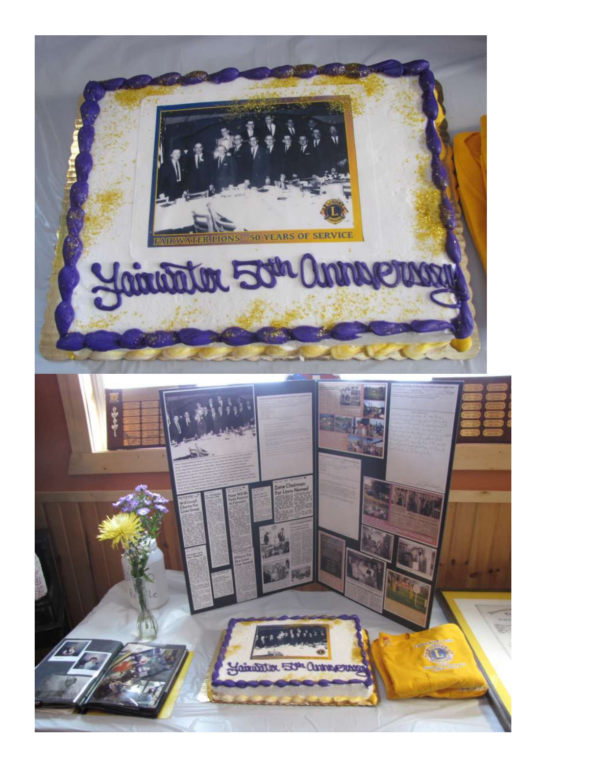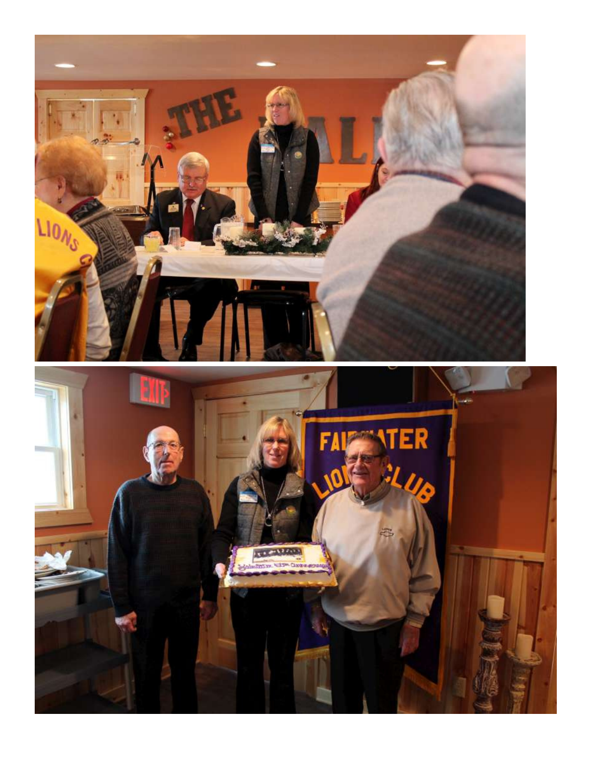